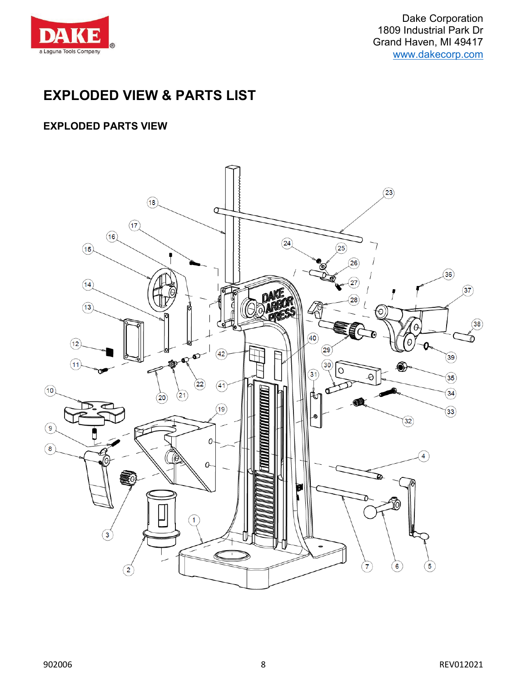

Dake Corporation 1809 Industrial Park Dr Grand Haven, MI 49417 [www.dakecorp.com](http://www.dakecorp.com/)

### **EXPLODED VIEW & PARTS LIST**

### **EXPLODED PARTS VIEW**